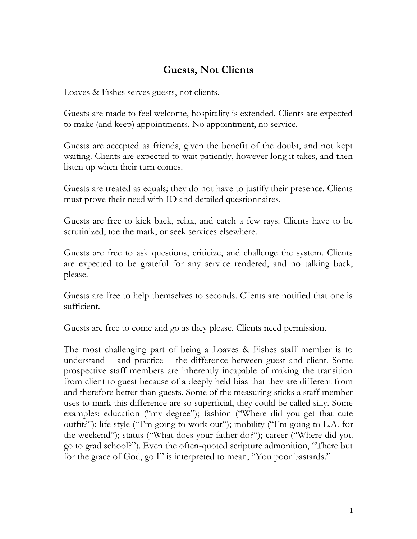## **Guests, Not Clients**

Loaves & Fishes serves guests, not clients.

Guests are made to feel welcome, hospitality is extended. Clients are expected to make (and keep) appointments. No appointment, no service.

Guests are accepted as friends, given the benefit of the doubt, and not kept waiting. Clients are expected to wait patiently, however long it takes, and then listen up when their turn comes.

Guests are treated as equals; they do not have to justify their presence. Clients must prove their need with ID and detailed questionnaires.

Guests are free to kick back, relax, and catch a few rays. Clients have to be scrutinized, toe the mark, or seek services elsewhere.

Guests are free to ask questions, criticize, and challenge the system. Clients are expected to be grateful for any service rendered, and no talking back, please.

Guests are free to help themselves to seconds. Clients are notified that one is sufficient.

Guests are free to come and go as they please. Clients need permission.

The most challenging part of being a Loaves & Fishes staff member is to understand – and practice – the difference between guest and client. Some prospective staff members are inherently incapable of making the transition from client to guest because of a deeply held bias that they are different from and therefore better than guests. Some of the measuring sticks a staff member uses to mark this difference are so superficial, they could be called silly. Some examples: education ("my degree"); fashion ("Where did you get that cute outfit?"); life style ("I'm going to work out"); mobility ("I'm going to L.A. for the weekend"); status ("What does your father do?"); career ("Where did you go to grad school?"). Even the often-quoted scripture admonition, "There but for the grace of God, go I" is interpreted to mean, "You poor bastards."